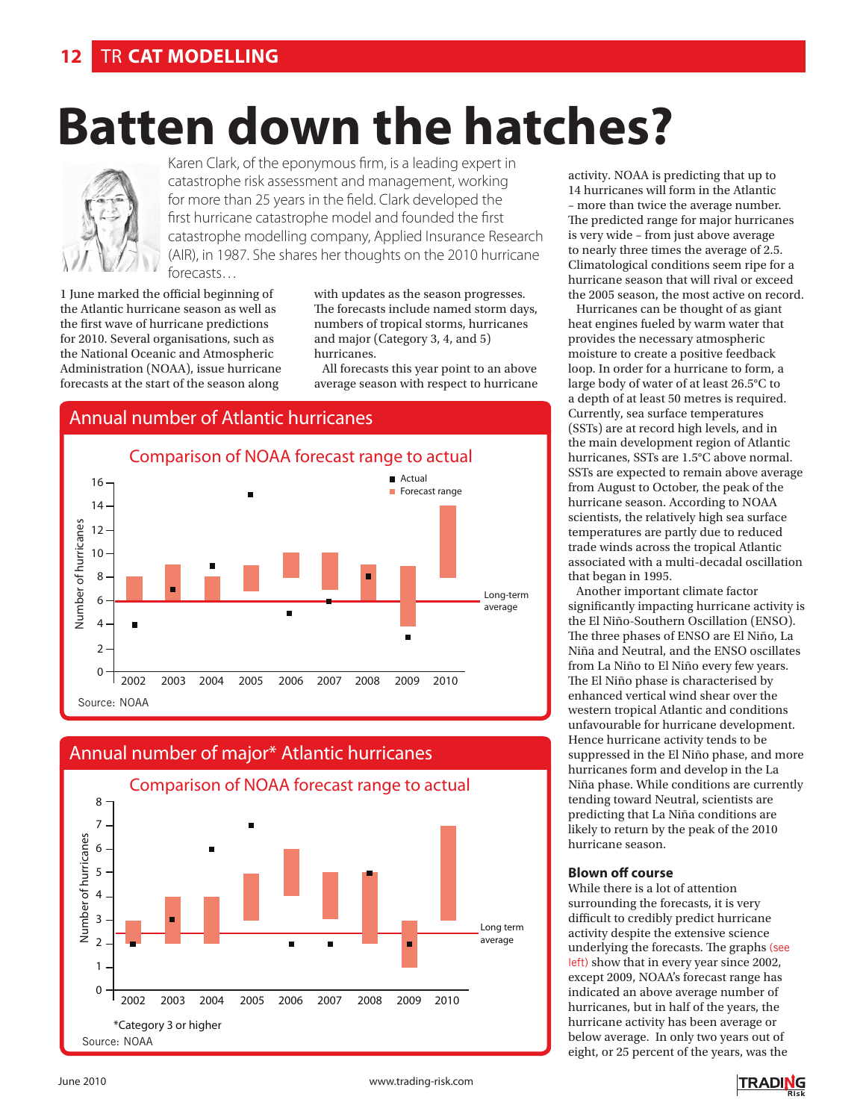# **Batten down the hatches?**



Karen Clark, of the eponymous firm, is a leading expert in catastrophe risk assessment and management, working for more than 25 years in the field. Clark developed the first hurricane catastrophe model and founded the first catastrophe modelling company, Applied Insurance Research (AIR), in 1987. She shares her thoughts on the 2010 hurricane forecasts…

1 June marked the official beginning of the Atlantic hurricane season as well as the first wave of hurricane predictions for 2010. Several organisations, such as the National Oceanic and Atmospheric Administration (NOAA), issue hurricane forecasts at the start of the season along

with updates as the season progresses. The forecasts include named storm days, numbers of tropical storms, hurricanes and major (Category 3, 4, and 5) hurricanes.

All forecasts this year point to an above average season with respect to hurricane



## Annual number of major\* Atlantic hurricanes



activity. NOAA is predicting that up to 14 hurricanes will form in the Atlantic – more than twice the average number. The predicted range for major hurricanes is very wide – from just above average to nearly three times the average of 2.5. Climatological conditions seem ripe for a hurricane season that will rival or exceed the 2005 season, the most active on record.

Hurricanes can be thought of as giant heat engines fueled by warm water that provides the necessary atmospheric moisture to create a positive feedback loop. In order for a hurricane to form, a large body of water of at least 26.5°C to a depth of at least 50 metres is required. Currently, sea surface temperatures (SSTs) are at record high levels, and in the main development region of Atlantic hurricanes, SSTs are 1.5°C above normal. SSTs are expected to remain above average from August to October, the peak of the hurricane season. According to NOAA scientists, the relatively high sea surface temperatures are partly due to reduced trade winds across the tropical Atlantic associated with a multi-decadal oscillation that began in 1995.

Another important climate factor significantly impacting hurricane activity is the El Niño-Southern Oscillation (ENSO). The three phases of ENSO are El Niño, La Niña and Neutral, and the ENSO oscillates from La Niño to El Niño every few years. The El Niño phase is characterised by enhanced vertical wind shear over the western tropical Atlantic and conditions unfavourable for hurricane development. Hence hurricane activity tends to be suppressed in the El Niño phase, and more hurricanes form and develop in the La Niña phase. While conditions are currently tending toward Neutral, scientists are predicting that La Niña conditions are likely to return by the peak of the 2010 hurricane season.

#### **Blown off course**

While there is a lot of attention surrounding the forecasts, it is very difficult to credibly predict hurricane activity despite the extensive science underlying the forecasts. The graphs (see left) show that in every year since 2002, except 2009, NOAA's forecast range has indicated an above average number of hurricanes, but in half of the years, the hurricane activity has been average or below average. In only two years out of eight, or 25 percent of the years, was the